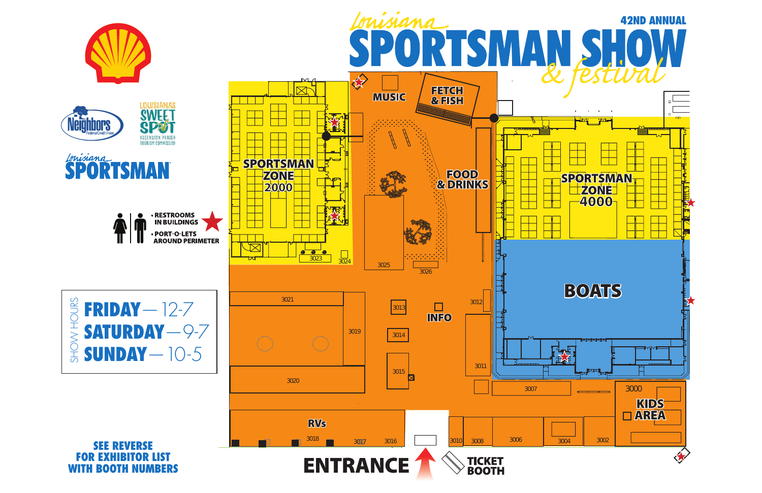